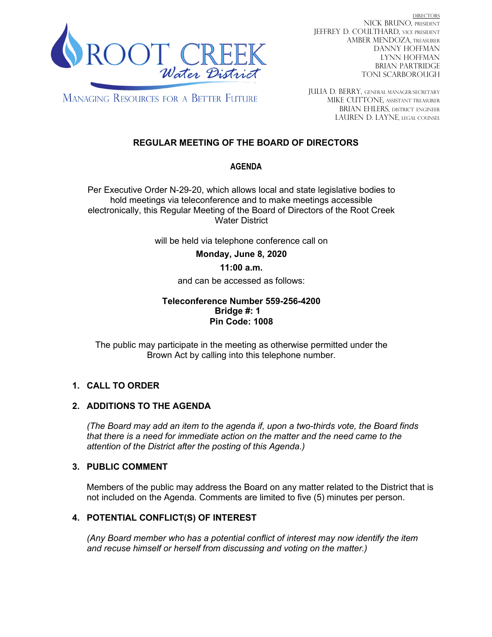

DIRECTORS NICK BRUNO, PRESIDENT JEFFREY D. COULTHARD, Vice President AMBER MENDOZA, TREASURER DANNY HOFFMAN LYNN HOFFMAN BRIAN PARTRIDGE TONI SCARBOROUGH

**MANAGING RESOURCES FOR A BETTER FUTURE** 

JULIA D. BERRY, GENERAL MANAGER/secretary MIKE CUTTONE, Assistant treasurer BRIAN EHLERS, DISTRICT ENGINEER LAUREN D. LAYNE, LEGAL COUNSEL

# **REGULAR MEETING OF THE BOARD OF DIRECTORS**

# **AGENDA**

Per Executive Order N-29-20, which allows local and state legislative bodies to hold meetings via teleconference and to make meetings accessible electronically, this Regular Meeting of the Board of Directors of the Root Creek Water District

will be held via telephone conference call on

**Monday, June 8, 2020** 

# **11:00 a.m.**

and can be accessed as follows:

### **Teleconference Number 559-256-4200 Bridge #: 1 Pin Code: 1008**

The public may participate in the meeting as otherwise permitted under the Brown Act by calling into this telephone number.

# **1. CALL TO ORDER**

# **2. ADDITIONS TO THE AGENDA**

*(The Board may add an item to the agenda if, upon a two-thirds vote, the Board finds that there is a need for immediate action on the matter and the need came to the attention of the District after the posting of this Agenda.)*

# **3. PUBLIC COMMENT**

Members of the public may address the Board on any matter related to the District that is not included on the Agenda. Comments are limited to five (5) minutes per person.

# **4. POTENTIAL CONFLICT(S) OF INTEREST**

*(Any Board member who has a potential conflict of interest may now identify the item and recuse himself or herself from discussing and voting on the matter.)*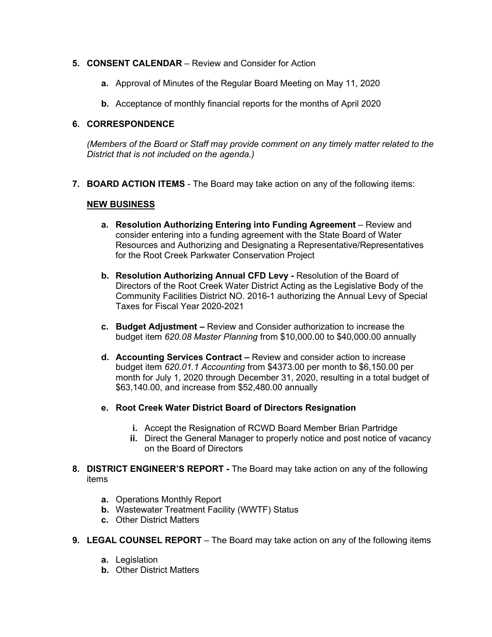### **5. CONSENT CALENDAR** – Review and Consider for Action

- **a.** Approval of Minutes of the Regular Board Meeting on May 11, 2020
- **b.** Acceptance of monthly financial reports for the months of April 2020

#### **6. CORRESPONDENCE**

*(Members of the Board or Staff may provide comment on any timely matter related to the District that is not included on the agenda.)*

**7. BOARD ACTION ITEMS** - The Board may take action on any of the following items:

#### **NEW BUSINESS**

- **a. Resolution Authorizing Entering into Funding Agreement** Review and consider entering into a funding agreement with the State Board of Water Resources and Authorizing and Designating a Representative/Representatives for the Root Creek Parkwater Conservation Project
- **b. Resolution Authorizing Annual CFD Levy -** Resolution of the Board of Directors of the Root Creek Water District Acting as the Legislative Body of the Community Facilities District NO. 2016-1 authorizing the Annual Levy of Special Taxes for Fiscal Year 2020-2021
- **c. Budget Adjustment –** Review and Consider authorization to increase the budget item *620.08 Master Planning* from \$10,000.00 to \$40,000.00 annually
- **d. Accounting Services Contract –** Review and consider action to increase budget item *620.01.1 Accounting* from \$4373.00 per month to \$6,150.00 per month for July 1, 2020 through December 31, 2020, resulting in a total budget of \$63,140.00, and increase from \$52,480.00 annually
- **e. Root Creek Water District Board of Directors Resignation**
	- **i.** Accept the Resignation of RCWD Board Member Brian Partridge
	- **ii.** Direct the General Manager to properly notice and post notice of vacancy on the Board of Directors
- **8. DISTRICT ENGINEER'S REPORT -** The Board may take action on any of the following items
	- **a.** Operations Monthly Report
	- **b.** Wastewater Treatment Facility (WWTF) Status
	- **c.** Other District Matters
- **9. LEGAL COUNSEL REPORT** The Board may take action on any of the following items
	- **a.** Legislation
	- **b.** Other District Matters